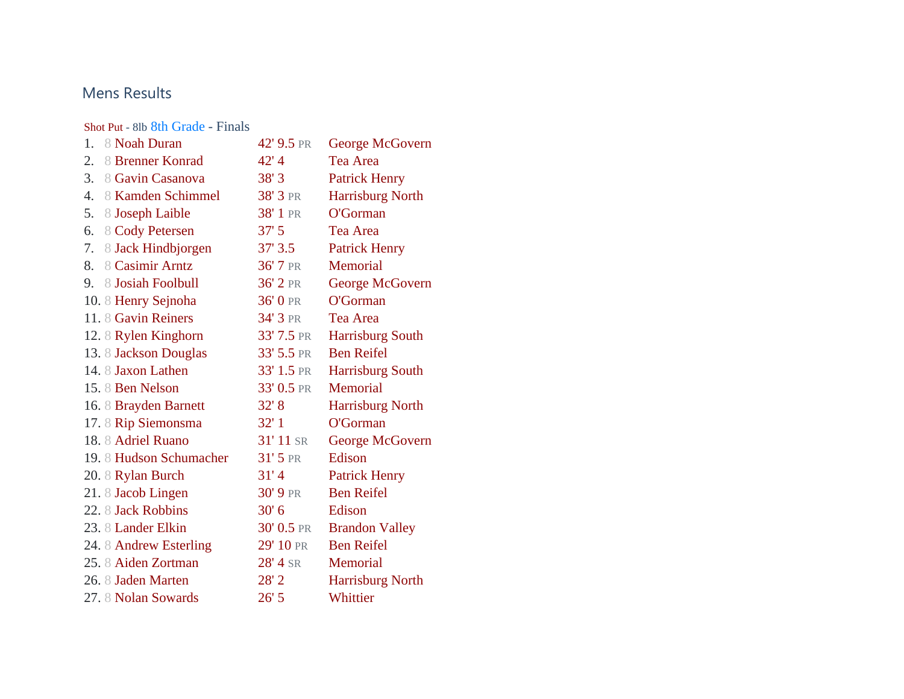## Mens Results

[Shot Put](https://www.athletic.net/TrackAndField/meet/470937/results/m/12/shot) - 8lb 8th Grade - Finals

| 1. | 8 Noah Duran            | 42' 9.5 PR | George McGovern         |
|----|-------------------------|------------|-------------------------|
| 2. | <b>8 Brenner Konrad</b> | 42'4       | Tea Area                |
| 3. | 8 Gavin Casanova        | 38'3       | <b>Patrick Henry</b>    |
| 4. | 8 Kamden Schimmel       | 38' 3 PR   | Harrisburg North        |
| 5. | 8 Joseph Laible         | 38' 1 PR   | O'Gorman                |
| 6. | 8 Cody Petersen         | 37'5       | Tea Area                |
| 7. | 8 Jack Hindbjorgen      | 37'3.5     | <b>Patrick Henry</b>    |
| 8. | 8 Casimir Arntz         | 36' 7 PR   | Memorial                |
|    | 9. 8 Josiah Foolbull    | 36' 2 PR   | George McGovern         |
|    | 10. 8 Henry Sejnoha     | 36' 0 PR   | O'Gorman                |
|    | 11. 8 Gavin Reiners     | 34' 3 PR   | Tea Area                |
|    | 12. 8 Rylen Kinghorn    | 33' 7.5 PR | Harrisburg South        |
|    | 13. 8 Jackson Douglas   | 33' 5.5 PR | <b>Ben Reifel</b>       |
|    | 14. 8 Jaxon Lathen      | 33' 1.5 PR | Harrisburg South        |
|    | 15.8 Ben Nelson         | 33' 0.5 PR | Memorial                |
|    | 16. 8 Brayden Barnett   | 32' 8      | Harrisburg North        |
|    | 17. 8 Rip Siemonsma     | 32'1       | O'Gorman                |
|    | 18.8 Adriel Ruano       | 31' 11 SR  | George McGovern         |
|    | 19. 8 Hudson Schumacher | $31'$ 5 PR | Edison                  |
|    | 20. 8 Rylan Burch       | 31'4       | <b>Patrick Henry</b>    |
|    | 21. 8 Jacob Lingen      | 30' 9 PR   | <b>Ben Reifel</b>       |
|    | 22. 8 Jack Robbins      | 30' 6      | Edison                  |
|    | 23. 8 Lander Elkin      | 30' 0.5 PR | <b>Brandon Valley</b>   |
|    | 24. 8 Andrew Esterling  | 29' 10 PR  | <b>Ben Reifel</b>       |
|    | 25. 8 Aiden Zortman     | 28' 4 SR   | Memorial                |
|    | 26. 8 Jaden Marten      | $28'$ 2    | <b>Harrisburg North</b> |
|    | 27. 8 Nolan Sowards     | 26'5       | Whittier                |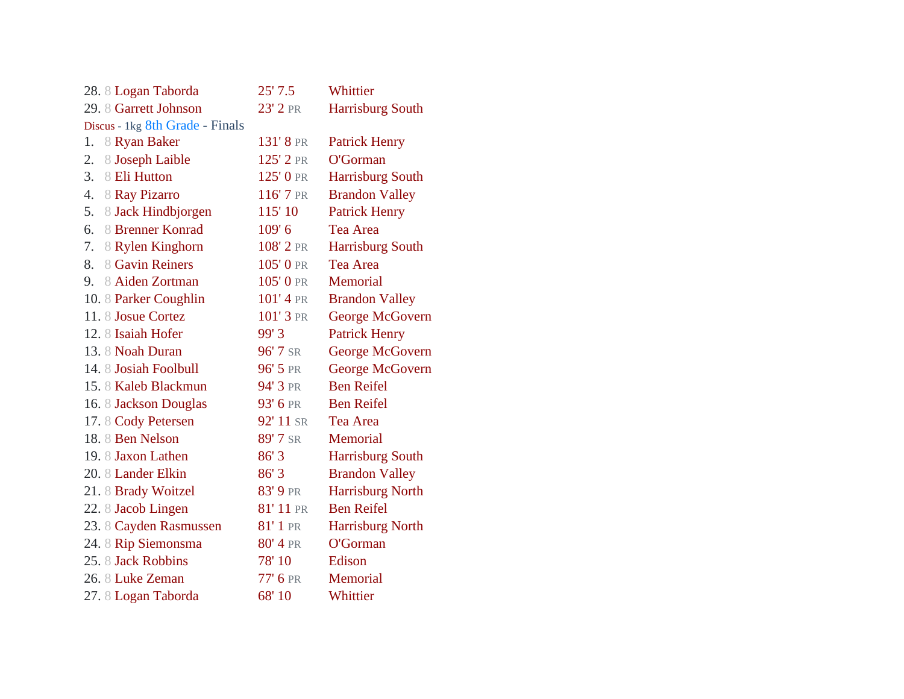| 28. 8 Logan Taborda             | 25'7.5    | Whittier                |
|---------------------------------|-----------|-------------------------|
| 29. 8 Garrett Johnson           | 23' 2 PR  | <b>Harrisburg South</b> |
| Discus - 1kg 8th Grade - Finals |           |                         |
| 8 Ryan Baker<br>1.              | 131' 8 PR | <b>Patrick Henry</b>    |
| 2.<br>8 Joseph Laible           | 125' 2 PR | O'Gorman                |
| 8 Eli Hutton<br>3.              | 125' 0 PR | <b>Harrisburg South</b> |
| 4.<br>8 Ray Pizarro             | 116' 7 PR | <b>Brandon Valley</b>   |
| 5.<br>8 Jack Hindbjorgen        | 115' 10   | <b>Patrick Henry</b>    |
| 8 Brenner Konrad<br>6.          | 109' 6    | <b>Tea Area</b>         |
| 7.<br>8 Rylen Kinghorn          | 108' 2 PR | Harrisburg South        |
| 8.<br>8 Gavin Reiners           | 105' 0 PR | Tea Area                |
| 8 Aiden Zortman<br>9.           | 105' 0 PR | Memorial                |
| 10. 8 Parker Coughlin           | 101' 4 PR | <b>Brandon Valley</b>   |
| 11. 8 Josue Cortez              | 101' 3 PR | George McGovern         |
| 12. 8 Isaiah Hofer              | 99'3      | <b>Patrick Henry</b>    |
| 13. 8 Noah Duran                | 96' 7 SR  | George McGovern         |
| 14. 8 Josiah Foolbull           | 96' 5 PR  | George McGovern         |
| 15. 8 Kaleb Blackmun            | 94' 3 PR  | <b>Ben Reifel</b>       |
| 16. 8 Jackson Douglas           | 93' 6 PR  | <b>Ben Reifel</b>       |
| 17. 8 Cody Petersen             | 92' 11 SR | Tea Area                |
| 18. 8 Ben Nelson                | 89' 7 SR  | Memorial                |
| 19. 8 Jaxon Lathen              | 86'3      | <b>Harrisburg South</b> |
| 20. 8 Lander Elkin              | 86'3      | <b>Brandon Valley</b>   |
| 21. 8 Brady Woitzel             | 83' 9 PR  | <b>Harrisburg North</b> |
| 22. 8 Jacob Lingen              | 81' 11 PR | <b>Ben Reifel</b>       |
| 23. 8 Cayden Rasmussen          | 81' 1 PR  | <b>Harrisburg North</b> |
| 24. 8 Rip Siemonsma             | 80' 4 PR  | O'Gorman                |
| 25. 8 Jack Robbins              | 78' 10    | Edison                  |
| 26. 8 Luke Zeman                | 77' 6 PR  | Memorial                |
| 27. 8 Logan Taborda             | 68' 10    | Whittier                |
|                                 |           |                         |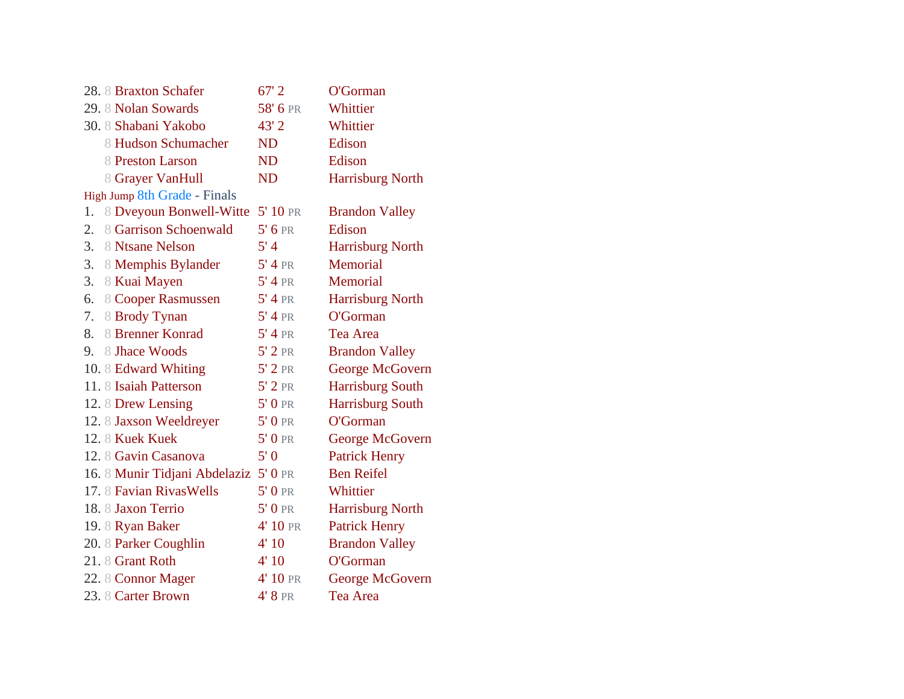|    | 28. 8 Braxton Schafer         | $67'$ 2   | O'Gorman                |
|----|-------------------------------|-----------|-------------------------|
|    | 29. 8 Nolan Sowards           | 58' 6 PR  | Whittier                |
|    | 30. 8 Shabani Yakobo          | 43' 2     | Whittier                |
|    | 8 Hudson Schumacher           | <b>ND</b> | Edison                  |
|    | <b>8 Preston Larson</b>       | <b>ND</b> | Edison                  |
|    | 8 Grayer VanHull              | ND        | Harrisburg North        |
|    | High Jump 8th Grade - Finals  |           |                         |
| 1. | 8 Dveyoun Bonwell-Witte       | 5' 10 PR  | <b>Brandon Valley</b>   |
| 2. | 8 Garrison Schoenwald         | $5'$ 6 PR | Edison                  |
| 3. | 8 Ntsane Nelson               | 5'4       | Harrisburg North        |
| 3. | 8 Memphis Bylander            | $5'$ 4 PR | Memorial                |
| 3. | 8 Kuai Mayen                  | $5'$ 4 PR | Memorial                |
| 6. | 8 Cooper Rasmussen            | $5'$ 4 PR | Harrisburg North        |
| 7. | 8 Brody Tynan                 | $5'$ 4 PR | O'Gorman                |
| 8. | 8 Brenner Konrad              | $5'$ 4 PR | Tea Area                |
| 9. | 8 Jhace Woods                 | $5'$ 2 PR | <b>Brandon Valley</b>   |
|    | 10. 8 Edward Whiting          | $5'$ 2 PR | George McGovern         |
|    | 11. 8 Isaiah Patterson        | $5'$ 2 PR | Harrisburg South        |
|    | 12. 8 Drew Lensing            | $5'0$ PR  | <b>Harrisburg South</b> |
|    | 12. 8 Jaxson Weeldreyer       | $5'0$ PR  | O'Gorman                |
|    | 12. 8 Kuek Kuek               | $5'0$ PR  | George McGovern         |
|    | 12. 8 Gavin Casanova          | 5'0       | <b>Patrick Henry</b>    |
|    | 16. 8 Munir Tidjani Abdelaziz | $5'0$ PR  | <b>Ben Reifel</b>       |
|    | 17. 8 Favian Rivas Wells      | $5'0$ PR  | Whittier                |
|    | 18. 8 Jaxon Terrio            | $5'0$ PR  | <b>Harrisburg North</b> |
|    | 19. 8 Ryan Baker              | 4' 10 PR  | <b>Patrick Henry</b>    |
|    | 20. 8 Parker Coughlin         | 4'10      | <b>Brandon Valley</b>   |
|    | 21. 8 Grant Roth              | 4'10      | O'Gorman                |
|    | 22. 8 Connor Mager            | 4' 10 PR  | George McGovern         |
|    | 23. 8 Carter Brown            | 4' 8 PR   | <b>Tea Area</b>         |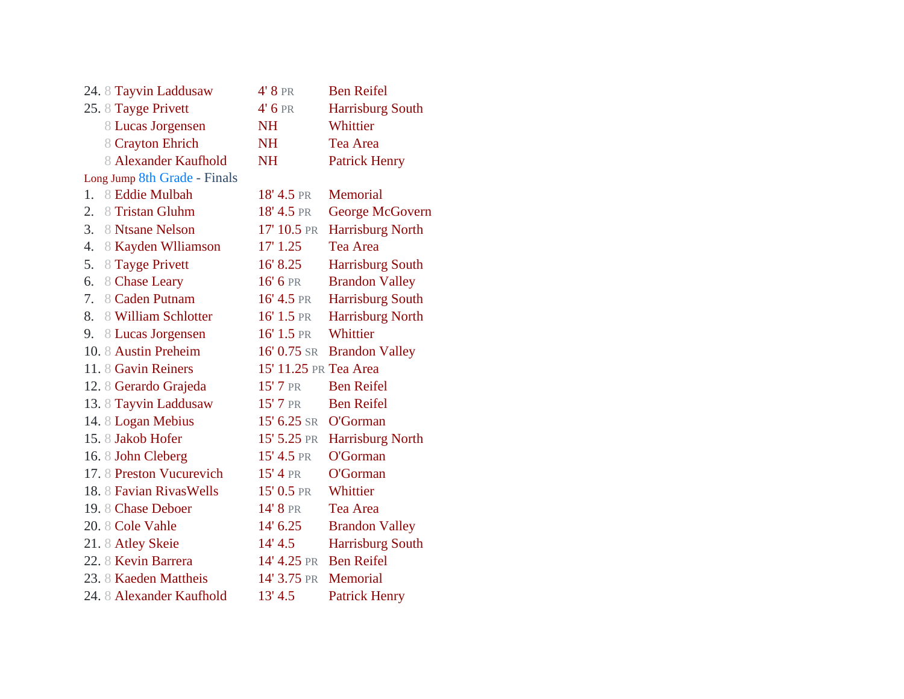|    | 24. 8 Tayvin Laddusaw        | $4' 8$ PR              | <b>Ben Reifel</b>          |
|----|------------------------------|------------------------|----------------------------|
|    | 25.8 Tayge Privett           | 4' 6 PR                | <b>Harrisburg South</b>    |
|    | 8 Lucas Jorgensen            | <b>NH</b>              | Whittier                   |
|    | 8 Crayton Ehrich             | <b>NH</b>              | Tea Area                   |
|    | 8 Alexander Kaufhold         | <b>NH</b>              | <b>Patrick Henry</b>       |
|    | Long Jump 8th Grade - Finals |                        |                            |
|    | 1. 8 Eddie Mulbah            | $18' 4.5$ PR           | Memorial                   |
| 2. | 8 Tristan Gluhm              | 18' 4.5 PR             | George McGovern            |
| 3. | 8 Ntsane Nelson              | 17' 10.5 PR            | <b>Harrisburg North</b>    |
| 4. | 8 Kayden Wlliamson           | 17' 1.25               | Tea Area                   |
| 5. | 8 Tayge Privett              | 16' 8.25               | <b>Harrisburg South</b>    |
| 6. | 8 Chase Leary                | 16' 6 PR               | <b>Brandon Valley</b>      |
| 7. | 8 Caden Putnam               | $16' 4.5$ PR           | <b>Harrisburg South</b>    |
| 8. | 8 William Schlotter          | $16'$ 1.5 PR           | <b>Harrisburg North</b>    |
|    | 9. 8 Lucas Jorgensen         | $16' 1.5$ PR           | Whittier                   |
|    | 10. 8 Austin Preheim         |                        | 16' 0.75 SR Brandon Valley |
|    | 11. 8 Gavin Reiners          | 15' 11.25 PR Tea Area  |                            |
|    | 12. 8 Gerardo Grajeda        | $15'$ 7 PR             | <b>Ben Reifel</b>          |
|    | 13. 8 Tayvin Laddusaw        | 15' 7 PR               | <b>Ben Reifel</b>          |
|    | 14. 8 Logan Mebius           | 15' 6.25 SR O'Gorman   |                            |
|    | 15. 8 Jakob Hofer            | 15' 5.25 PR            | <b>Harrisburg North</b>    |
|    | 16. 8 John Cleberg           | $15' 4.5$ PR           | O'Gorman                   |
|    | 17. 8 Preston Vucurevich     | 15' 4 PR               | O'Gorman                   |
|    | 18. 8 Favian Rivas Wells     | $15'$ 0.5 pr           | Whittier                   |
|    | 19. 8 Chase Deboer           | 14' 8 PR               | Tea Area                   |
|    | 20. 8 Cole Vahle             | 14' 6.25               | <b>Brandon Valley</b>      |
|    | 21. 8 Atley Skeie            | 14' 4.5                | <b>Harrisburg South</b>    |
|    | 22. 8 Kevin Barrera          | 14' 4.25 PR Ben Reifel |                            |
|    | 23. 8 Kaeden Mattheis        | 14' 3.75 PR Memorial   |                            |
|    | 24. 8 Alexander Kaufhold     | 13' 4.5                | <b>Patrick Henry</b>       |
|    |                              |                        |                            |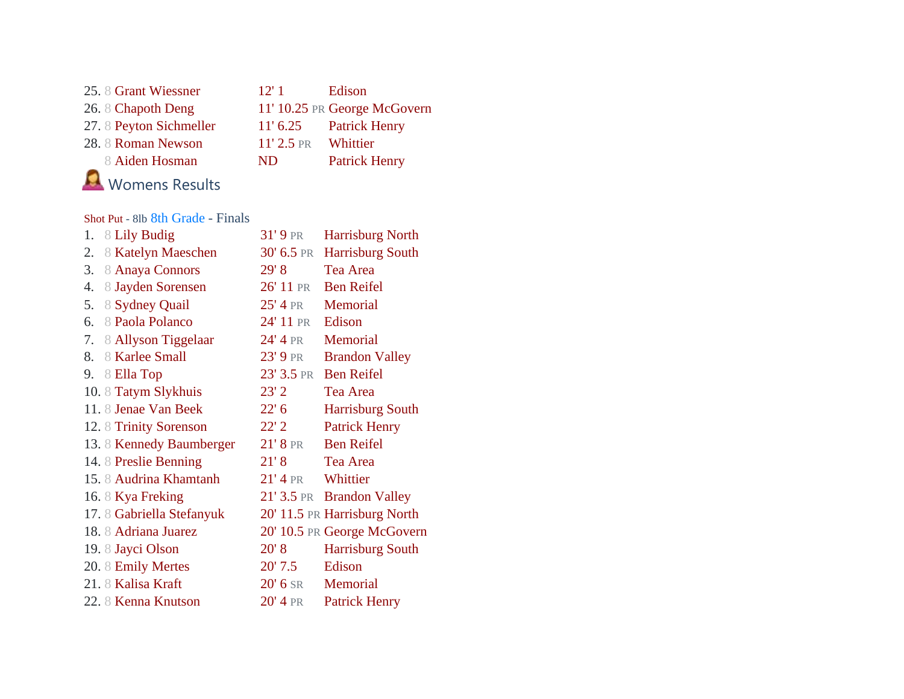| 25. 8 Grant Wiessner    | 12'1                | Edison                       |
|-------------------------|---------------------|------------------------------|
| 26. 8 Chapoth Deng      |                     | 11' 10.25 PR George McGovern |
| 27. 8 Peyton Sichmeller | $11'$ 6.25          | <b>Patrick Henry</b>         |
| 28.8 Roman Newson       | 11' 2.5 PR Whittier |                              |
| 8 Aiden Hosman          | ND.                 | <b>Patrick Henry</b>         |
| Womens Results          |                     |                              |

## [Shot Put](https://www.athletic.net/TrackAndField/meet/470937/results/f/12/shot) - 8lb 8th Grade - Finals

| 1. | 8 Lily Budig              | $31'9$ PR         | <b>Harrisburg North</b>      |
|----|---------------------------|-------------------|------------------------------|
| 2. | 8 Katelyn Maeschen        | $30'$ 6.5 PR      | <b>Harrisburg South</b>      |
| 3. | 8 Anaya Connors           | 29' 8             | Tea Area                     |
| 4. | 8 Jayden Sorensen         | 26' 11 PR         | <b>Ben Reifel</b>            |
| 5. | 8 Sydney Quail            | $25'$ 4 PR        | Memorial                     |
|    | 6. 8 Paola Polanco        | 24' 11 PR         | Edison                       |
| 7. | 8 Allyson Tiggelaar       | 24' 4 PR          | Memorial                     |
| 8. | 8 Karlee Small            | 23' 9 pr          | <b>Brandon Valley</b>        |
|    | 9. 8 Ella Top             | 23' 3.5 PR        | <b>Ben Reifel</b>            |
|    | 10. 8 Tatym Slykhuis      | 23'2              | Tea Area                     |
|    | 11. 8 Jenae Van Beek      | 22' 6             | <b>Harrisburg South</b>      |
|    | 12. 8 Trinity Sorenson    | $22'$ 2           | <b>Patrick Henry</b>         |
|    | 13. 8 Kennedy Baumberger  | $21'$ $8$ pr      | <b>Ben Reifel</b>            |
|    | 14. 8 Preslie Benning     | 21'8              | Tea Area                     |
|    | 15. 8 Audrina Khamtanh    | $21'$ 4 pr        | Whittier                     |
|    | 16.8 Kya Freking          |                   | 21' 3.5 PR Brandon Valley    |
|    | 17. 8 Gabriella Stefanyuk |                   | 20' 11.5 PR Harrisburg North |
|    | 18. 8 Adriana Juarez      |                   | 20' 10.5 PR George McGovern  |
|    | 19. 8 Jayci Olson         | 20' 8             | <b>Harrisburg South</b>      |
|    | 20. 8 Emily Mertes        | $20'$ 7.5         | Edison                       |
|    | 21. 8 Kalisa Kraft        | $20^{\circ}$ 6 sr | Memorial                     |
|    | 22. 8 Kenna Knutson       | $20'$ 4 pr        | <b>Patrick Henry</b>         |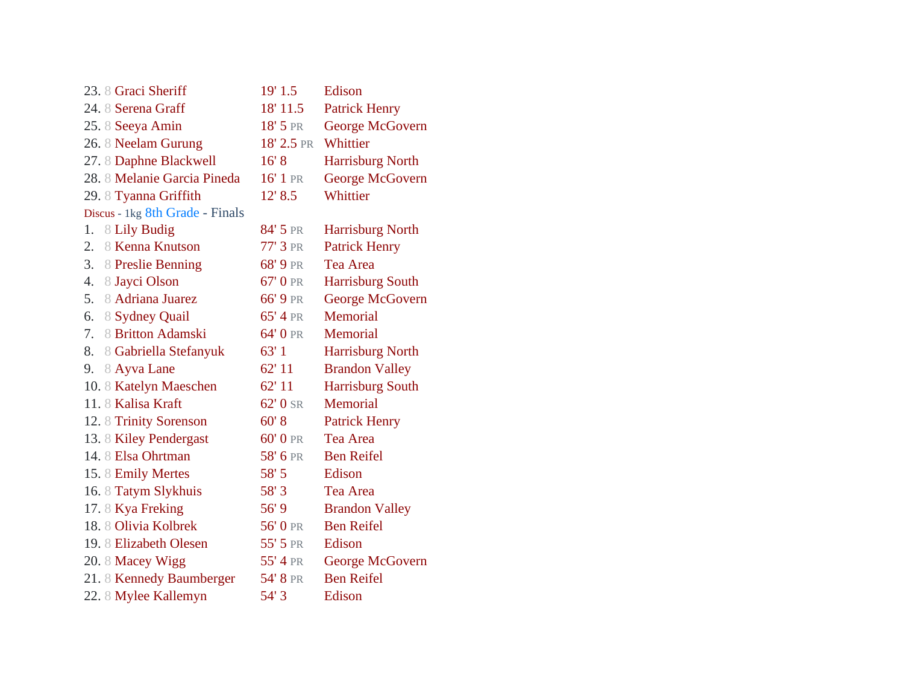|    | 23. 8 Graci Sheriff             | 19' 1.5    | Edison                  |
|----|---------------------------------|------------|-------------------------|
|    | 24. 8 Serena Graff              | 18' 11.5   | <b>Patrick Henry</b>    |
|    | 25. 8 Seeya Amin                | 18' 5 PR   | George McGovern         |
|    | 26. 8 Neelam Gurung             | 18' 2.5 PR | Whittier                |
|    | 27. 8 Daphne Blackwell          | 16' 8      | Harrisburg North        |
|    | 28. 8 Melanie Garcia Pineda     | 16' 1 PR   | George McGovern         |
|    | 29. 8 Tyanna Griffith           | 12' 8.5    | Whittier                |
|    | Discus - 1kg 8th Grade - Finals |            |                         |
| 1. | 8 Lily Budig                    | 84' 5 PR   | <b>Harrisburg North</b> |
| 2. | 8 Kenna Knutson                 | 77' 3 PR   | <b>Patrick Henry</b>    |
| 3. | 8 Preslie Benning               | 68' 9 PR   | Tea Area                |
| 4. | 8 Jayci Olson                   | 67' 0 PR   | <b>Harrisburg South</b> |
| 5. | 8 Adriana Juarez                | 66' 9 PR   | George McGovern         |
| 6. | 8 Sydney Quail                  | $65'$ 4 PR | <b>Memorial</b>         |
| 7. | 8 Britton Adamski               | 64' 0 PR   | Memorial                |
| 8. | 8 Gabriella Stefanyuk           | 63'1       | Harrisburg North        |
| 9. | 8 Ayva Lane                     | 62' 11     | <b>Brandon Valley</b>   |
|    | 10. 8 Katelyn Maeschen          | 62' 11     | <b>Harrisburg South</b> |
|    | 11. 8 Kalisa Kraft              | $62'0$ SR  | Memorial                |
|    | 12. 8 Trinity Sorenson          | 60' 8      | <b>Patrick Henry</b>    |
|    | 13.8 Kiley Pendergast           | 60' 0 PR   | Tea Area                |
|    | 14. 8 Elsa Ohrtman              | 58' 6 PR   | <b>Ben Reifel</b>       |
|    | 15. 8 Emily Mertes              | 58'5       | Edison                  |
|    | 16.8 Tatym Slykhuis             | 58'3       | Tea Area                |
|    | 17. 8 Kya Freking               | 56'9       | <b>Brandon Valley</b>   |
|    | 18. 8 Olivia Kolbrek            | 56' 0 PR   | <b>Ben Reifel</b>       |
|    | 19. 8 Elizabeth Olesen          | 55' 5 PR   | Edison                  |
|    | 20. 8 Macey Wigg                | 55' 4 PR   | George McGovern         |
|    | 21. 8 Kennedy Baumberger        | 54' 8 PR   | <b>Ben Reifel</b>       |
|    | 22. 8 Mylee Kallemyn            | 54' 3      | Edison                  |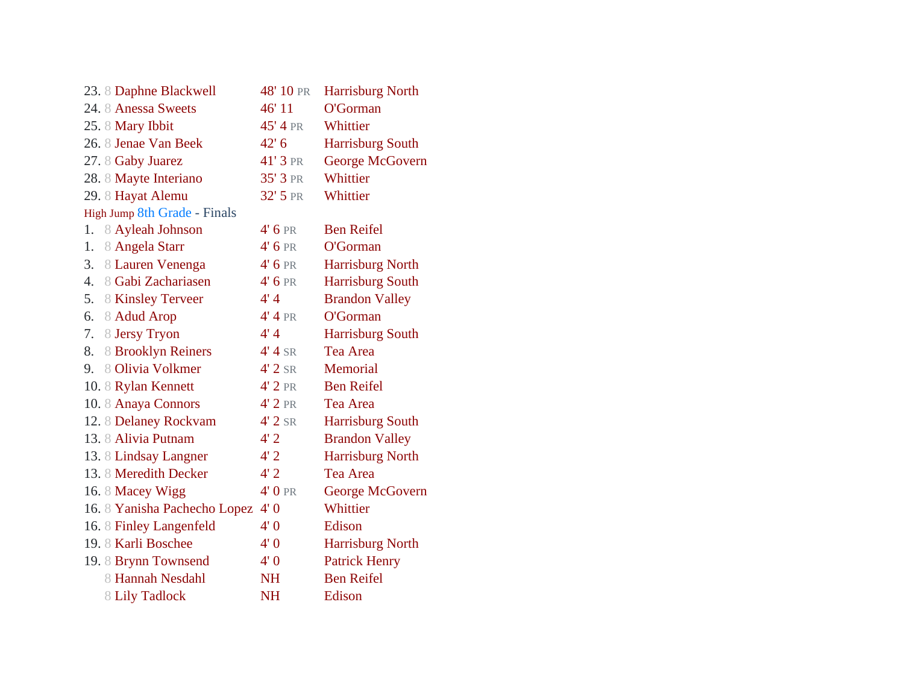| 23. 8 Daphne Blackwell       | 48' 10 PR | <b>Harrisburg North</b> |
|------------------------------|-----------|-------------------------|
| 24. 8 Anessa Sweets          | 46' 11    | O'Gorman                |
| 25. 8 Mary Ibbit             | 45' 4 PR  | Whittier                |
| 26. 8 Jenae Van Beek         | $42'$ 6   | Harrisburg South        |
| 27. 8 Gaby Juarez            | 41' 3 PR  | George McGovern         |
| 28. 8 Mayte Interiano        | 35' 3 PR  | Whittier                |
| 29. 8 Hayat Alemu            | 32' 5 PR  | Whittier                |
| High Jump 8th Grade - Finals |           |                         |
| 8 Ayleah Johnson<br>1.       | 4' 6 PR   | <b>Ben Reifel</b>       |
| 8 Angela Starr<br>1.         | $4'$ 6 PR | O'Gorman                |
| 3.<br>8 Lauren Venenga       | $4'6$ PR  | Harrisburg North        |
| 8 Gabi Zachariasen<br>4.     | 4' 6 PR   | <b>Harrisburg South</b> |
| 5.<br>8 Kinsley Terveer      | 4'4       | <b>Brandon Valley</b>   |
| 8 Adud Arop<br>6.            | $4'4$ PR  | O'Gorman                |
| 7.<br>8 Jersy Tryon          | 4'4       | <b>Harrisburg South</b> |
| 8 Brooklyn Reiners<br>8.     | $4'4$ SR  | Tea Area                |
| 8 Olivia Volkmer<br>9.       | $4'2$ SR  | Memorial                |
| 10. 8 Rylan Kennett          | 4' 2 PR   | <b>Ben Reifel</b>       |
| 10. 8 Anaya Connors          | $4'2$ PR  | Tea Area                |
| 12. 8 Delaney Rockvam        | $4'2$ SR  | <b>Harrisburg South</b> |
| 13. 8 Alivia Putnam          | 4'2       | <b>Brandon Valley</b>   |
| 13. 8 Lindsay Langner        | 4'2       | <b>Harrisburg North</b> |
| 13. 8 Meredith Decker        | 4'2       | Tea Area                |
| 16. 8 Macey Wigg             | 4' 0 PR   | George McGovern         |
| 16. 8 Yanisha Pachecho Lopez | 4'0       | Whittier                |
| 16. 8 Finley Langenfeld      | 4'0       | Edison                  |
| 19. 8 Karli Boschee          | 4'0       | <b>Harrisburg North</b> |
| 19. 8 Brynn Townsend         | 4'0       | <b>Patrick Henry</b>    |
| 8 Hannah Nesdahl             | <b>NH</b> | <b>Ben Reifel</b>       |
| 8 Lily Tadlock               | <b>NH</b> | Edison                  |
|                              |           |                         |